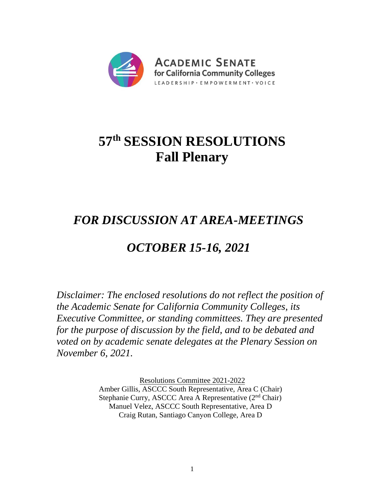

# **57th SESSION RESOLUTIONS Fall Plenary**

# *FOR DISCUSSION AT AREA-MEETINGS*

# *OCTOBER 15-16, 2021*

*Disclaimer: The enclosed resolutions do not reflect the position of the Academic Senate for California Community Colleges, its Executive Committee, or standing committees. They are presented for the purpose of discussion by the field, and to be debated and voted on by academic senate delegates at the Plenary Session on November 6, 2021.*

Resolutions Committee 2021-2022

Amber Gillis, ASCCC South Representative, Area C (Chair) Stephanie Curry, ASCCC Area A Representative (2nd Chair) Manuel Velez, ASCCC South Representative, Area D Craig Rutan, Santiago Canyon College, Area D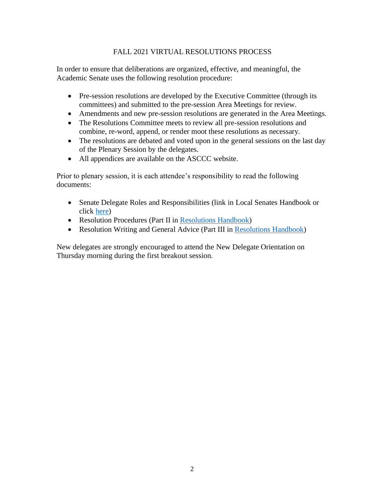## FALL 2021 VIRTUAL RESOLUTIONS PROCESS

In order to ensure that deliberations are organized, effective, and meaningful, the Academic Senate uses the following resolution procedure:

- Pre-session resolutions are developed by the Executive Committee (through its committees) and submitted to the pre-session Area Meetings for review.
- Amendments and new pre-session resolutions are generated in the Area Meetings.
- The Resolutions Committee meets to review all pre-session resolutions and combine, re-word, append, or render moot these resolutions as necessary.
- The resolutions are debated and voted upon in the general sessions on the last day of the Plenary Session by the delegates.
- All appendices are available on the ASCCC website.

Prior to plenary session, it is each attendee's responsibility to read the following documents:

- Senate Delegate Roles and Responsibilities (link in Local Senates Handbook or click [here\)](http://asccc.org/sites/default/files/DelRolesRespon09.pdf)
- Resolution Procedures (Part II in [Resolutions](https://www.asccc.org/sites/default/files/ResolutionHandbookFinalFA17_1.pdf) Handbook)
- Resolution Writing and General Advice (Part III in [Resolutions](https://www.asccc.org/sites/default/files/ResolutionHandbookFinalFA17_1.pdf) Handbook)

New delegates are strongly encouraged to attend the New Delegate Orientation on Thursday morning during the first breakout session.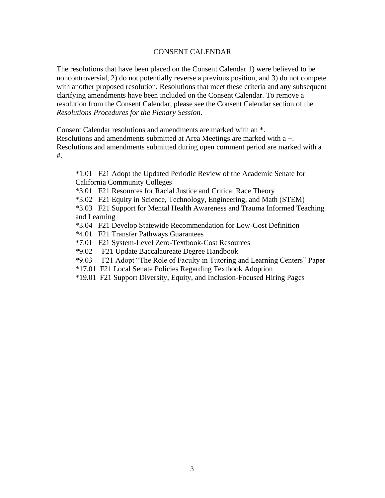## CONSENT CALENDAR

The resolutions that have been placed on the Consent Calendar 1) were believed to be noncontroversial, 2) do not potentially reverse a previous position, and 3) do not compete with another proposed resolution. Resolutions that meet these criteria and any subsequent clarifying amendments have been included on the Consent Calendar. To remove a resolution from the Consent Calendar, please see the Consent Calendar section of the *Resolutions Procedures for the Plenary Session*.

Consent Calendar resolutions and amendments are marked with an \*. Resolutions and amendments submitted at Area Meetings are marked with a +. Resolutions and amendments submitted during open comment period are marked with a #.

\*1.01 F21 Adopt the Updated Periodic Review of the Academic Senate for California Community Colleges

\*3.01 [F21 Resources for Racial Justice and Critical Race Theory](#page-5-0)

\*3.02 F21 Equity in Science, Technology, Engineering, and Math (STEM)

\*3.03 [F21 Support for Mental Health Awareness and Trauma Informed Teaching](#page-7-0)  [and Learning](#page-7-0)

\*3.04 [F21 Develop Statewide Recommendation for Low-Cost Definition](#page-7-0)

\*4.01 [F21 Transfer Pathways Guarantees](#page-11-0)

\*7.01 [F21 System-Level Zero-Textbook-Cost Resources](#page-11-0)

\*9.02 F21 Update Baccalaureate Degree Handbook

\*9.03 F21 Adopt "The Role of Faculty in Tutoring and Learning Centers" Paper

\*17.01 [F21 Local Senate Policies Regarding Textbook Adoption](#page-11-0)

\*19.01 F21 Support Diversity, Equity, and Inclusion-Focused Hiring Pages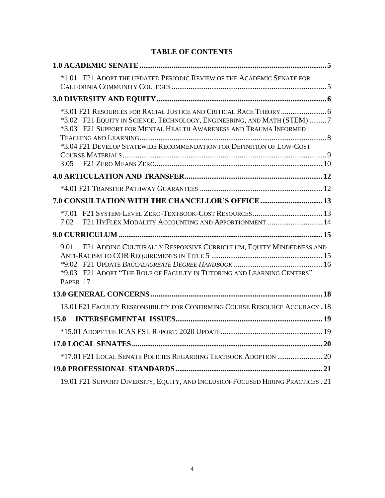# **TABLE OF CONTENTS**

| *1.01 F21 ADOPT THE UPDATED PERIODIC REVIEW OF THE ACADEMIC SENATE FOR                                                                                                                                                |  |
|-----------------------------------------------------------------------------------------------------------------------------------------------------------------------------------------------------------------------|--|
|                                                                                                                                                                                                                       |  |
| *3.02 F21 EQUITY IN SCIENCE, TECHNOLOGY, ENGINEERING, AND MATH (STEM) 7<br>*3.03 F21 SUPPORT FOR MENTAL HEALTH AWARENESS AND TRAUMA INFORMED<br>*3.04 F21 DEVELOP STATEWIDE RECOMMENDATION FOR DEFINITION OF LOW-COST |  |
|                                                                                                                                                                                                                       |  |
|                                                                                                                                                                                                                       |  |
|                                                                                                                                                                                                                       |  |
| 7.0 CONSULTATION WITH THE CHANCELLOR'S OFFICE  13                                                                                                                                                                     |  |
| F21 HYFLEX MODALITY ACCOUNTING AND APPORTIONMENT  14<br>7.02                                                                                                                                                          |  |
|                                                                                                                                                                                                                       |  |
| 9.01 F21 ADDING CULTURALLY RESPONSIVE CURRICULUM, EQUITY MINDEDNESS AND<br>*9.03 F21 ADOPT "THE ROLE OF FACULTY IN TUTORING AND LEARNING CENTERS"<br>PAPER 17                                                         |  |
|                                                                                                                                                                                                                       |  |
| 13.01 F21 FACULTY RESPONSIBILITY FOR CONFIRMING COURSE RESOURCE ACCURACY . 18                                                                                                                                         |  |
| 15.0                                                                                                                                                                                                                  |  |
|                                                                                                                                                                                                                       |  |
|                                                                                                                                                                                                                       |  |
|                                                                                                                                                                                                                       |  |
|                                                                                                                                                                                                                       |  |
| 19.01 F21 SUPPORT DIVERSITY, EQUITY, AND INCLUSION-FOCUSED HIRING PRACTICES . 21                                                                                                                                      |  |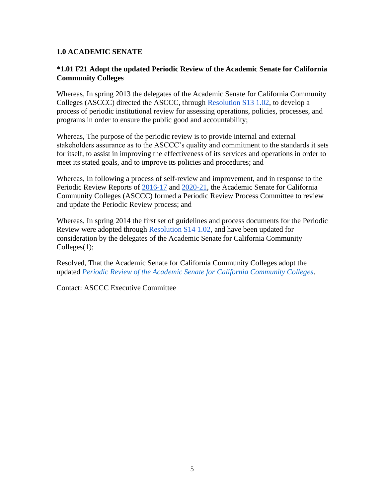#### <span id="page-4-0"></span>**1.0 ACADEMIC SENATE**

#### <span id="page-4-1"></span>**\*1.01 F21 Adopt the updated Periodic Review of the Academic Senate for California Community Colleges**

Whereas, In spring 2013 the delegates of the Academic Senate for California Community Colleges (ASCCC) directed the ASCCC, through [Resolution S13 1.02,](https://asccc.org/resolutions/periodic-evaluation-academic-senate-california-community-colleges) to develop a process of periodic institutional review for assessing operations, policies, processes, and programs in order to ensure the public good and accountability;

Whereas, The purpose of the periodic review is to provide internal and external stakeholders assurance as to the ASCCC's quality and commitment to the standards it sets for itself, to assist in improving the effectiveness of its services and operations in order to meet its stated goals, and to improve its policies and procedures; and

Whereas, In following a process of self-review and improvement, and in response to the Periodic Review Reports of [2016-17](https://asccc.org/sites/default/files/Final%20Version_Periodic%20Review%20Document_April%202017_0.pdf) and [2020-21,](https://asccc.org/sites/default/files/2020-21%20PRC%20Final%20Report-%20Rev%201.pdf) the Academic Senate for California Community Colleges (ASCCC) formed a Periodic Review Process Committee to review and update the Periodic Review process; and

Whereas, In spring 2014 the first set of guidelines and process documents for the Periodic Review were adopted through [Resolution S14 1.02,](https://asccc.org/resolutions/adopt-documents-guidelines-periodic-review-academic-senate-california-community-colleges) and have been updated for consideration by the delegates of the Academic Senate for California Community Colleges(1);

Resolved, That the Academic Senate for California Community Colleges adopt the updated *[Periodic Review of the Academic Senate for California Community Colleges](https://asccc.org/sites/default/files/Periodic%20Review%20of%20the%20ASCCC%20-%20DRAFT%208-31-21.pdf)*.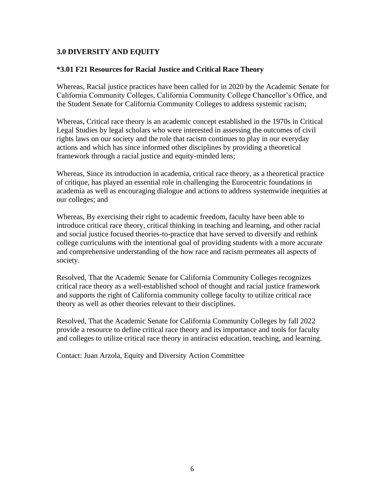# <span id="page-5-1"></span>**3.0 DIVERSITY AND EQUITY**

#### <span id="page-5-0"></span>**\*3.01 F21 Resources for Racial Justice and Critical Race Theory**

Whereas, Racial justice practices have been called for in 2020 by the Academic Senate for California Community Colleges, California Community College Chancellor's Office, and the Student Senate for California Community Colleges to address systemic racism;

Whereas, Critical race theory is an academic concept established in the 1970s in Critical Legal Studies by legal scholars who were interested in assessing the outcomes of civil rights laws on our society and the role that racism continues to play in our everyday actions and which has since informed other disciplines by providing a theoretical framework through a racial justice and equity-minded lens;

Whereas, Since its introduction in academia, critical race theory, as a theoretical practice of critique, has played an essential role in challenging the Eurocentric foundations in academia as well as encouraging dialogue and actions to address systemwide inequities at our colleges; and

Whereas, By exercising their right to academic freedom, faculty have been able to introduce critical race theory, critical thinking in teaching and learning, and other racial and social justice focused theories-to-practice that have served to diversify and rethink college curriculums with the intentional goal of providing students with a more accurate and comprehensive understanding of the how race and racism permeates all aspects of society.

Resolved, That the Academic Senate for California Community Colleges recognizes critical race theory as a well-established school of thought and racial justice framework and supports the right of California community college faculty to utilize critical race theory as well as other theories relevant to their disciplines.

Resolved, That the Academic Senate for California Community Colleges by fall 2022 provide a resource to define critical race theory and its importance and tools for faculty and colleges to utilize critical race theory in antiracist education, teaching, and learning.

Contact: Juan Arzola, Equity and Diversity Action Committee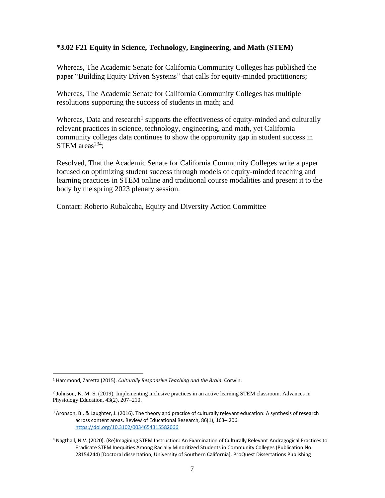#### <span id="page-6-0"></span>**\*3.02 F21 Equity in Science, Technology, Engineering, and Math (STEM)**

Whereas, The Academic Senate for California Community Colleges has published the paper "Building Equity Driven Systems" that calls for equity-minded practitioners;

Whereas, The Academic Senate for California Community Colleges has multiple resolutions supporting the success of students in math; and

Whereas, Data and research<sup>1</sup> supports the effectiveness of equity-minded and culturally relevant practices in science, technology, engineering, and math, yet California community colleges data continues to show the opportunity gap in student success in  $STEM$  areas<sup>234</sup>;

Resolved, That the Academic Senate for California Community Colleges write a paper focused on optimizing student success through models of equity-minded teaching and learning practices in STEM online and traditional course modalities and present it to the body by the spring 2023 plenary session.

Contact: Roberto Rubalcaba, Equity and Diversity Action Committee

<sup>1</sup> Hammond, Zaretta (2015). *Culturally Responsive Teaching and the Brain.* Corwin.

<sup>2</sup> Johnson, K. M. S. (2019). Implementing inclusive practices in an active learning STEM classroom. Advances in Physiology Education, 43(2), 207–210.

<sup>3</sup> Aronson, B., & Laughter, J. (2016). The theory and practice of culturally relevant education: A synthesis of research across content areas. Review of Educational Research, 86(1), 163– 206. <https://doi.org/10.3102/0034654315582066>

<sup>4</sup> Nagthall, N.V. (2020). (Re)Imagining STEM Instruction: An Examination of Culturally Relevant Andragogical Practices to Eradicate STEM Inequities Among Racially Minoritized Students in Community Colleges (Publication No. 28154244) [Doctoral dissertation, University of Southern California]. ProQuest Dissertations Publishing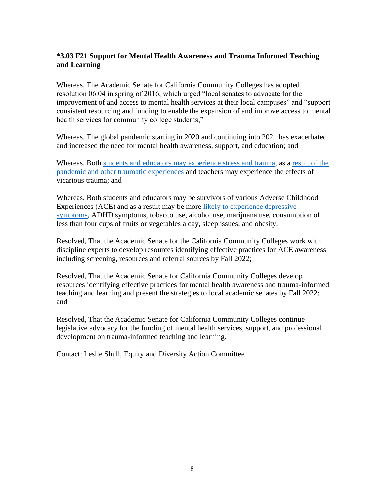#### <span id="page-7-0"></span>**\*3.03 F21 Support for Mental Health Awareness and Trauma Informed Teaching and Learning**

Whereas, The Academic Senate for California Community Colleges has adopted resolution 06.04 in spring of 2016, which urged "local senates to advocate for the improvement of and access to mental health services at their local campuses" and "support consistent resourcing and funding to enable the expansion of and improve access to mental health services for community college students;"

Whereas, The global pandemic starting in 2020 and continuing into 2021 has exacerbated and increased the need for mental health awareness, support, and education; and

Whereas, Both [students and educators may experience stress and trauma,](https://www.edsurge.com/news/2020-04-07-teachers-are-anxious-and-overwhelmed-they-need-sel-now-more-than-ever) as a [result of the](https://nebhe.org/journal/trauma-in-the-time-of-coronavirus-and-beyond-a-nejhe-qa-with-karen-gross/)  [pandemic and other traumatic experiences](https://nebhe.org/journal/trauma-in-the-time-of-coronavirus-and-beyond-a-nejhe-qa-with-karen-gross/) and teachers may experience the effects of vicarious trauma; and

Whereas, Both students and educators may be survivors of various Adverse Childhood Experiences (ACE) and as a result may be more [likely to experience depressive](https://www.ncbi.nlm.nih.gov/pmc/articles/PMC5948167/)  [symptoms,](https://www.ncbi.nlm.nih.gov/pmc/articles/PMC5948167/) ADHD symptoms, tobacco use, alcohol use, marijuana use, consumption of less than four cups of fruits or vegetables a day, sleep issues, and obesity.

Resolved, That the Academic Senate for the California Community Colleges work with discipline experts to develop resources identifying effective practices for ACE awareness including screening, resources and referral sources by Fall 2022;

Resolved, That the Academic Senate for California Community Colleges develop resources identifying effective practices for mental health awareness and trauma-informed teaching and learning and present the strategies to local academic senates by Fall 2022; and

Resolved, That the Academic Senate for California Community Colleges continue legislative advocacy for the funding of mental health services, support, and professional development on trauma-informed teaching and learning.

Contact: Leslie Shull, Equity and Diversity Action Committee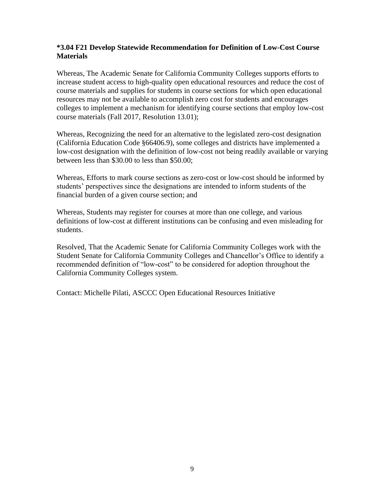#### <span id="page-8-0"></span>**\*3.04 F21 Develop Statewide Recommendation for Definition of Low-Cost Course Materials**

Whereas, The Academic Senate for California Community Colleges supports efforts to increase student access to high-quality open educational resources and reduce the cost of course materials and supplies for students in course sections for which open educational resources may not be available to accomplish zero cost for students and encourages colleges to implement a mechanism for identifying course sections that employ low-cost course materials (Fall 2017, Resolution 13.01);

Whereas, Recognizing the need for an alternative to the legislated zero-cost designation (California Education Code §66406.9), some colleges and districts have implemented a low-cost designation with the definition of low-cost not being readily available or varying between less than \$30.00 to less than \$50.00;

Whereas, Efforts to mark course sections as zero-cost or low-cost should be informed by students' perspectives since the designations are intended to inform students of the financial burden of a given course section; and

Whereas, Students may register for courses at more than one college, and various definitions of low-cost at different institutions can be confusing and even misleading for students.

Resolved, That the Academic Senate for California Community Colleges work with the Student Senate for California Community Colleges and Chancellor's Office to identify a recommended definition of "low-cost" to be considered for adoption throughout the California Community Colleges system.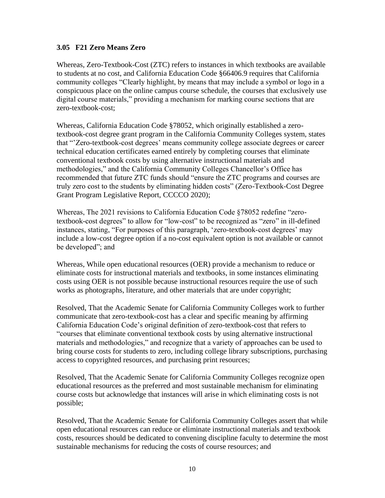#### <span id="page-9-0"></span>**3.05 F21 Zero Means Zero**

Whereas, Zero-Textbook-Cost (ZTC) refers to instances in which textbooks are available to students at no cost, and California Education Code §66406.9 requires that California community colleges "Clearly highlight, by means that may include a symbol or logo in a conspicuous place on the online campus course schedule, the courses that exclusively use digital course materials," providing a mechanism for marking course sections that are zero-textbook-cost;

Whereas, California Education Code §78052, which originally established a zerotextbook-cost degree grant program in the California Community Colleges system, states that "'Zero-textbook-cost degrees' means community college associate degrees or career technical education certificates earned entirely by completing courses that eliminate conventional textbook costs by using alternative instructional materials and methodologies," and the California Community Colleges Chancellor's Office has recommended that future ZTC funds should "ensure the ZTC programs and courses are truly zero cost to the students by eliminating hidden costs" (Zero-Textbook-Cost Degree Grant Program Legislative Report, CCCCO 2020);

Whereas, The 2021 revisions to California Education Code §78052 redefine "zerotextbook-cost degrees" to allow for "low-cost" to be recognized as "zero" in ill-defined instances, stating, "For purposes of this paragraph, 'zero-textbook-cost degrees' may include a low-cost degree option if a no-cost equivalent option is not available or cannot be developed"; and

Whereas, While open educational resources (OER) provide a mechanism to reduce or eliminate costs for instructional materials and textbooks, in some instances eliminating costs using OER is not possible because instructional resources require the use of such works as photographs, literature, and other materials that are under copyright;

Resolved, That the Academic Senate for California Community Colleges work to further communicate that zero-textbook-cost has a clear and specific meaning by affirming California Education Code's original definition of zero-textbook-cost that refers to "courses that eliminate conventional textbook costs by using alternative instructional materials and methodologies," and recognize that a variety of approaches can be used to bring course costs for students to zero, including college library subscriptions, purchasing access to copyrighted resources, and purchasing print resources;

Resolved, That the Academic Senate for California Community Colleges recognize open educational resources as the preferred and most sustainable mechanism for eliminating course costs but acknowledge that instances will arise in which eliminating costs is not possible;

Resolved, That the Academic Senate for California Community Colleges assert that while open educational resources can reduce or eliminate instructional materials and textbook costs, resources should be dedicated to convening discipline faculty to determine the most sustainable mechanisms for reducing the costs of course resources; and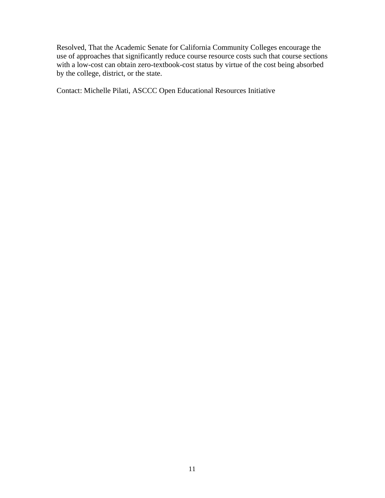Resolved, That the Academic Senate for California Community Colleges encourage the use of approaches that significantly reduce course resource costs such that course sections with a low-cost can obtain zero-textbook-cost status by virtue of the cost being absorbed by the college, district, or the state.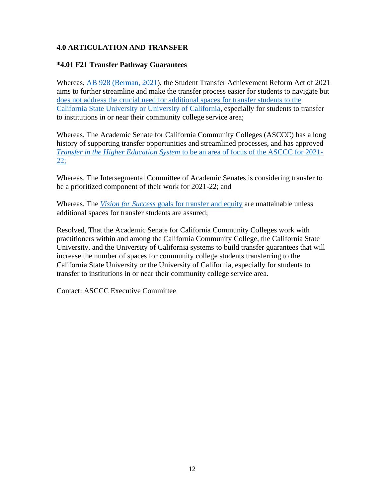# <span id="page-11-1"></span>**4.0 ARTICULATION AND TRANSFER**

#### <span id="page-11-0"></span>**\*4.01 F21 Transfer Pathway Guarantees**

Whereas, [AB 928 \(Berman, 2021\)](https://leginfo.legislature.ca.gov/faces/billStatusClient.xhtml?bill_id=202120220AB928), the Student Transfer Achievement Reform Act of 2021 aims to further streamline and make the transfer process easier for students to navigate but [does not address the crucial need for additional spaces for transfer students to the](https://asccc.org/sites/default/files/asccc_position_paper_transfer_practices_210525_media.pdf)  [California State University or University of California,](https://asccc.org/sites/default/files/asccc_position_paper_transfer_practices_210525_media.pdf) especially for students to transfer to institutions in or near their community college service area;

Whereas, The Academic Senate for California Community Colleges (ASCCC) has a long history of supporting transfer opportunities and streamlined processes, and has approved *Transfer in the Higher Education System* [to be an area of focus of the ASCCC for 2021-](https://asccc.org/resolutions/aligning-transfer-pathways-california-state-university-and-university-california-systems;) [22;](https://asccc.org/resolutions/aligning-transfer-pathways-california-state-university-and-university-california-systems;)

Whereas, The Intersegmental Committee of Academic Senates is considering transfer to be a prioritized component of their work for 2021-22; and

Whereas, The *Vision for Success* [goals for transfer and equity](https://www.cccco.edu/About-Us/Vision-for-Success/vision-goals) are unattainable unless additional spaces for transfer students are assured;

Resolved, That the Academic Senate for California Community Colleges work with practitioners within and among the California Community College, the California State University, and the University of California systems to build transfer guarantees that will increase the number of spaces for community college students transferring to the California State University or the University of California, especially for students to transfer to institutions in or near their community college service area.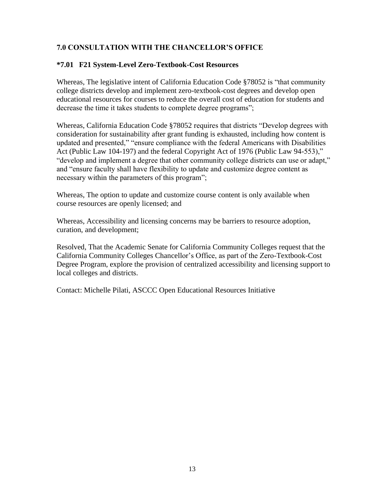# <span id="page-12-0"></span>**7.0 CONSULTATION WITH THE CHANCELLOR'S OFFICE**

#### <span id="page-12-1"></span>**\*7.01 F21 System-Level Zero-Textbook-Cost Resources**

Whereas, The legislative intent of California Education Code §78052 is "that community college districts develop and implement zero-textbook-cost degrees and develop open educational resources for courses to reduce the overall cost of education for students and decrease the time it takes students to complete degree programs";

Whereas, California Education Code §78052 requires that districts "Develop degrees with consideration for sustainability after grant funding is exhausted, including how content is updated and presented," "ensure compliance with the federal Americans with Disabilities Act (Public Law 104-197) and the federal Copyright Act of 1976 (Public Law 94-553)," "develop and implement a degree that other community college districts can use or adapt," and "ensure faculty shall have flexibility to update and customize degree content as necessary within the parameters of this program";

Whereas, The option to update and customize course content is only available when course resources are openly licensed; and

Whereas, Accessibility and licensing concerns may be barriers to resource adoption, curation, and development;

Resolved, That the Academic Senate for California Community Colleges request that the California Community Colleges Chancellor's Office, as part of the Zero-Textbook-Cost Degree Program, explore the provision of centralized accessibility and licensing support to local colleges and districts.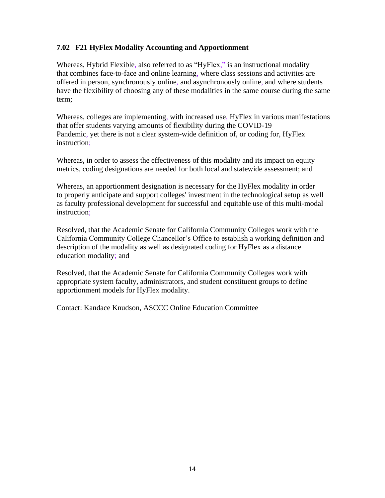#### <span id="page-13-0"></span>**7.02 F21 HyFlex Modality Accounting and Apportionment**

Whereas, Hybrid Flexible, also referred to as "HyFlex," is an instructional modality that combines face-to-face and online learning, where class sessions and activities are offered in person, synchronously online, and asynchronously online, and where students have the flexibility of choosing any of these modalities in the same course during the same term;

Whereas, colleges are implementing, with increased use, HyFlex in various manifestations that offer students varying amounts of flexibility during the COVID-19 Pandemic, yet there is not a clear system-wide definition of, or coding for, HyFlex instruction;

Whereas, in order to assess the effectiveness of this modality and its impact on equity metrics, coding designations are needed for both local and statewide assessment; and

Whereas, an apportionment designation is necessary for the HyFlex modality in order to properly anticipate and support colleges' investment in the technological setup as well as faculty professional development for successful and equitable use of this multi-modal instruction;

Resolved, that the Academic Senate for California Community Colleges work with the California Community College Chancellor's Office to establish a working definition and description of the modality as well as designated coding for HyFlex as a distance education modality; and

Resolved, that the Academic Senate for California Community Colleges work with appropriate system faculty, administrators, and student constituent groups to define apportionment models for HyFlex modality.

Contact: Kandace Knudson, ASCCC Online Education Committee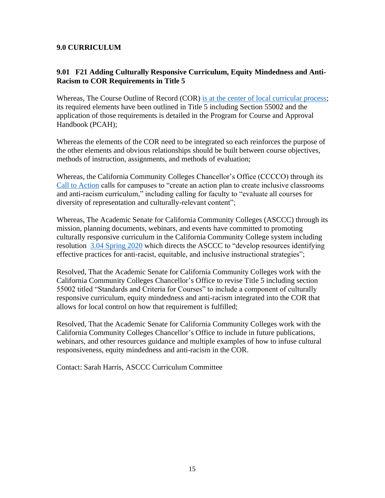#### <span id="page-14-0"></span>**9.0 CURRICULUM**

## <span id="page-14-1"></span>**9.01 F21 Adding Culturally Responsive Curriculum, Equity Mindedness and Anti-Racism to COR Requirements in Title 5**

Whereas, The Course Outline of Record (COR) [is at the center of local curricular process;](https://www.asccc.org/sites/default/files/COR_0.pdf) its required elements have been outlined in Title 5 including Section 55002 and the application of those requirements is detailed in the Program for Course and Approval Handbook (PCAH);

Whereas the elements of the COR need to be integrated so each reinforces the purpose of the other elements and obvious relationships should be built between course objectives, methods of instruction, assignments, and methods of evaluation;

Whereas, the California Community Colleges Chancellor's Office (CCCCO) through its [Call to Action](https://www.cccco.edu/-/media/CCCCO-Website/Files/Communications/dear-california-community-colleges-family) calls for campuses to "create an action plan to create inclusive classrooms and anti-racism curriculum," including calling for faculty to "evaluate all courses for diversity of representation and culturally-relevant content";

Whereas, The Academic Senate for California Community Colleges (ASCCC) through its mission, planning documents, webinars, and events have committed to promoting culturally responsive curriculum in the California Community College system including resolution [3.04 Spring 2020](https://www.asccc.org/resolutions/develop-resources-effective-practices-anti-racist-equitable-and-inclusive-instructional) which directs the ASCCC to "develop resources identifying effective practices for anti-racist, equitable, and inclusive instructional strategies";

Resolved, That the Academic Senate for California Community Colleges work with the California Community Colleges Chancellor's Office to revise Title 5 including section 55002 titled "Standards and Criteria for Courses" to include a component of culturally responsive curriculum, equity mindedness and anti-racism integrated into the COR that allows for local control on how that requirement is fulfilled;

Resolved, That the Academic Senate for California Community Colleges work with the California Community Colleges Chancellor's Office to include in future publications, webinars, and other resources guidance and multiple examples of how to infuse cultural responsiveness, equity mindedness and anti-racism in the COR.

Contact: Sarah Harris, ASCCC Curriculum Committee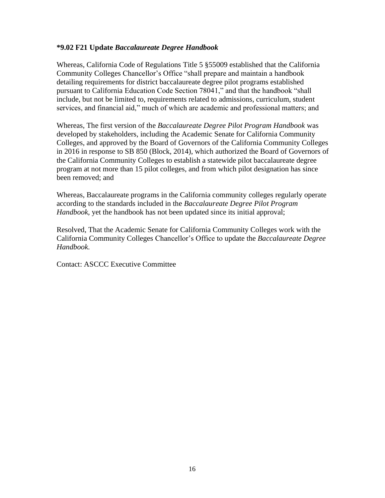#### <span id="page-15-0"></span>**\*9.02 F21 Update** *Baccalaureate Degree Handbook*

Whereas, California Code of Regulations Title 5 §55009 established that the California Community Colleges Chancellor's Office "shall prepare and maintain a handbook detailing requirements for district baccalaureate degree pilot programs established pursuant to California Education Code Section 78041," and that the handbook "shall include, but not be limited to, requirements related to admissions, curriculum, student services, and financial aid," much of which are academic and professional matters; and

Whereas, The first version of the *Baccalaureate Degree Pilot Program Handbook* was developed by stakeholders, including the Academic Senate for California Community Colleges, and approved by the Board of Governors of the California Community Colleges in 2016 in response to SB 850 (Block, 2014), which authorized the Board of Governors of the California Community Colleges to establish a statewide pilot baccalaureate degree program at not more than 15 pilot colleges, and from which pilot designation has since been removed; and

Whereas, Baccalaureate programs in the California community colleges regularly operate according to the standards included in the *Baccalaureate Degree Pilot Program Handbook*, yet the handbook has not been updated since its initial approval;

Resolved, That the Academic Senate for California Community Colleges work with the California Community Colleges Chancellor's Office to update the *Baccalaureate Degree Handbook*.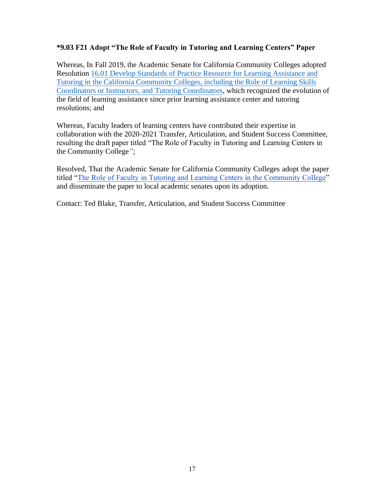#### <span id="page-16-0"></span>**\*9.03 F21 Adopt "The Role of Faculty in Tutoring and Learning Centers" Paper**

Whereas, In Fall 2019, the Academic Senate for California Community Colleges adopted Resolution [16.01 Develop Standards of Practice Resource for Learning Assistance and](https://asccc.org/resolutions/develop-standards-practice-resource-learning-assistance-and-tutoring-california) [Tutoring in the California Community Colleges, including the Role of Learning Skills](https://asccc.org/resolutions/develop-standards-practice-resource-learning-assistance-and-tutoring-california) [Coordinators or Instructors, and Tutoring Coordinators,](https://asccc.org/resolutions/develop-standards-practice-resource-learning-assistance-and-tutoring-california) which recognized the evolution of the field of learning assistance since prior learning assistance center and tutoring resolutions; and

Whereas, Faculty leaders of learning centers have contributed their expertise in collaboration with the 2020-2021 Transfer, Articulation, and Student Success Committee, resulting the draft paper titled "The Role of Faculty in Tutoring and Learning Centers in the Community College*"*;

Resolved, That the Academic Senate for California Community Colleges adopt the paper titled ["The Role of Faculty in Tutoring and Learning Centers in the Community College"](https://asccc.org/sites/default/files/The%20Role%20of%20Faculty%20in%20Tutoring%20and%20Learning%20Centers%20in%20the%20Community%20College-for%20Plenary%20F21.pdf)  and disseminate the paper to local academic senates upon its adoption.

Contact: Ted Blake, Transfer, Articulation, and Student Success Committee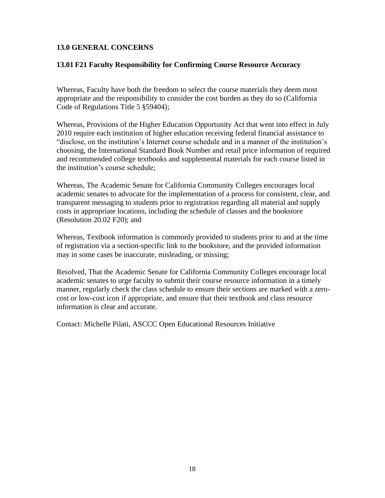## <span id="page-17-0"></span>**13.0 GENERAL CONCERNS**

#### <span id="page-17-1"></span>**13.01 F21 Faculty Responsibility for Confirming Course Resource Accuracy**

Whereas, Faculty have both the freedom to select the course materials they deem most appropriate and the responsibility to consider the cost burden as they do so (California Code of Regulations Title 5 §59404);

Whereas, Provisions of the Higher Education Opportunity Act that went into effect in July 2010 require each institution of higher education receiving federal financial assistance to "disclose, on the institution's Internet course schedule and in a manner of the institution's choosing, the International Standard Book Number and retail price information of required and recommended college textbooks and supplemental materials for each course listed in the institution's course schedule;

Whereas, The Academic Senate for California Community Colleges encourages local academic senates to advocate for the implementation of a process for consistent, clear, and transparent messaging to students prior to registration regarding all material and supply costs in appropriate locations, including the schedule of classes and the bookstore (Resolution 20.02 F20); and

Whereas, Textbook information is commonly provided to students prior to and at the time of registration via a section-specific link to the bookstore, and the provided information may in some cases be inaccurate, misleading, or missing;

Resolved, That the Academic Senate for California Community Colleges encourage local academic senates to urge faculty to submit their course resource information in a timely manner, regularly check the class schedule to ensure their sections are marked with a zerocost or low-cost icon if appropriate, and ensure that their textbook and class resource information is clear and accurate.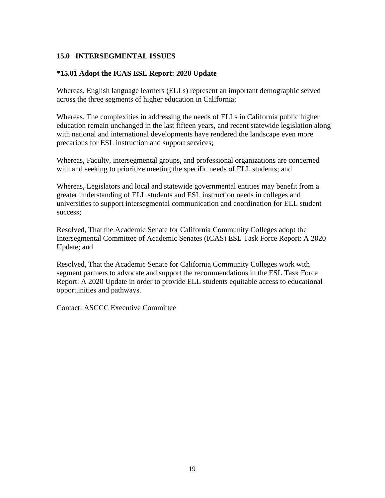#### <span id="page-18-0"></span>**15.0 INTERSEGMENTAL ISSUES**

#### <span id="page-18-1"></span>**\*15.01 Adopt the ICAS ESL Report: 2020 Update**

Whereas, English language learners (ELLs) represent an important demographic served across the three segments of higher education in California;

Whereas, The complexities in addressing the needs of ELLs in California public higher education remain unchanged in the last fifteen years, and recent statewide legislation along with national and international developments have rendered the landscape even more precarious for ESL instruction and support services;

Whereas, Faculty, intersegmental groups, and professional organizations are concerned with and seeking to prioritize meeting the specific needs of ELL students; and

Whereas, Legislators and local and statewide governmental entities may benefit from a greater understanding of ELL students and ESL instruction needs in colleges and universities to support intersegmental communication and coordination for ELL student success;

Resolved, That the Academic Senate for California Community Colleges adopt the Intersegmental Committee of Academic Senates (ICAS) ESL Task Force Report: A 2020 Update; and

Resolved, That the Academic Senate for California Community Colleges work with segment partners to advocate and support the recommendations in the ESL Task Force Report: A 2020 Update in order to provide ELL students equitable access to educational opportunities and pathways.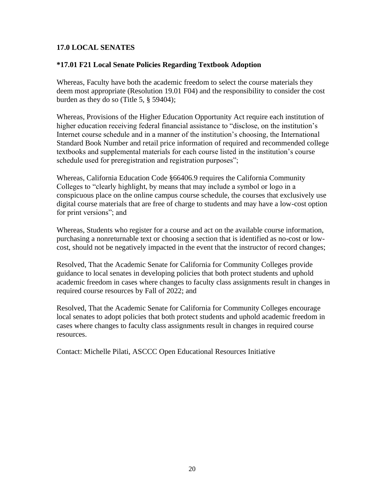## <span id="page-19-0"></span>**17.0 LOCAL SENATES**

#### <span id="page-19-1"></span>**\*17.01 F21 Local Senate Policies Regarding Textbook Adoption**

Whereas, Faculty have both the academic freedom to select the course materials they deem most appropriate (Resolution 19.01 F04) and the responsibility to consider the cost burden as they do so (Title 5, § 59404);

Whereas, Provisions of the Higher Education Opportunity Act require each institution of higher education receiving federal financial assistance to "disclose, on the institution's Internet course schedule and in a manner of the institution's choosing, the International Standard Book Number and retail price information of required and recommended college textbooks and supplemental materials for each course listed in the institution's course schedule used for preregistration and registration purposes";

Whereas, California Education Code §66406.9 requires the California Community Colleges to "clearly highlight, by means that may include a symbol or logo in a conspicuous place on the online campus course schedule, the courses that exclusively use digital course materials that are free of charge to students and may have a low-cost option for print versions"; and

Whereas, Students who register for a course and act on the available course information, purchasing a nonreturnable text or choosing a section that is identified as no-cost or lowcost, should not be negatively impacted in the event that the instructor of record changes;

Resolved, That the Academic Senate for California for Community Colleges provide guidance to local senates in developing policies that both protect students and uphold academic freedom in cases where changes to faculty class assignments result in changes in required course resources by Fall of 2022; and

Resolved, That the Academic Senate for California for Community Colleges encourage local senates to adopt policies that both protect students and uphold academic freedom in cases where changes to faculty class assignments result in changes in required course resources.